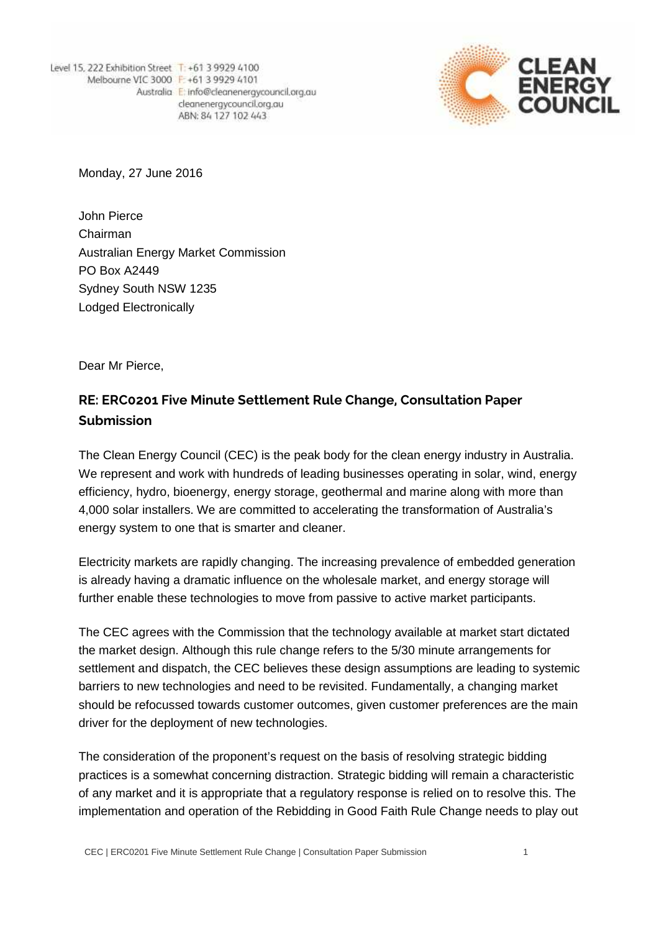Level 15, 222 Exhibition Street T: +61 3 9929 4100 Melbourne VIC 3000 F: +61 3 9929 4101 Australia E: info@cleanenergycouncil.org.au cleanenergycouncil.org.au ABN: 84 127 102 443



Monday, 27 June 2016

John Pierce Chairman Australian Energy Market Commission PO Box A2449 Sydney South NSW 1235 Lodged Electronically

Dear Mr Pierce,

## **RE: ERC0201 Five Minute Settlement Rule Change, Consultation Paper Submission**

The Clean Energy Council (CEC) is the peak body for the clean energy industry in Australia. We represent and work with hundreds of leading businesses operating in solar, wind, energy efficiency, hydro, bioenergy, energy storage, geothermal and marine along with more than 4,000 solar installers. We are committed to accelerating the transformation of Australia's energy system to one that is smarter and cleaner.

Electricity markets are rapidly changing. The increasing prevalence of embedded generation is already having a dramatic influence on the wholesale market, and energy storage will further enable these technologies to move from passive to active market participants.

The CEC agrees with the Commission that the technology available at market start dictated the market design. Although this rule change refers to the 5/30 minute arrangements for settlement and dispatch, the CEC believes these design assumptions are leading to systemic barriers to new technologies and need to be revisited. Fundamentally, a changing market should be refocussed towards customer outcomes, given customer preferences are the main driver for the deployment of new technologies.

The consideration of the proponent's request on the basis of resolving strategic bidding practices is a somewhat concerning distraction. Strategic bidding will remain a characteristic of any market and it is appropriate that a regulatory response is relied on to resolve this. The implementation and operation of the Rebidding in Good Faith Rule Change needs to play out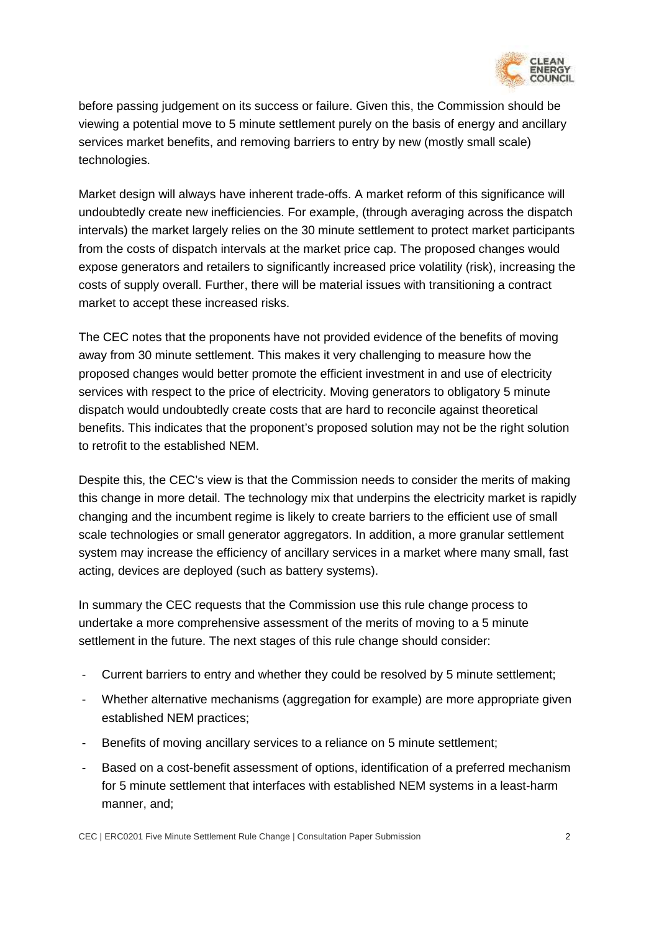

before passing judgement on its success or failure. Given this, the Commission should be viewing a potential move to 5 minute settlement purely on the basis of energy and ancillary services market benefits, and removing barriers to entry by new (mostly small scale) technologies.

Market design will always have inherent trade-offs. A market reform of this significance will undoubtedly create new inefficiencies. For example, (through averaging across the dispatch intervals) the market largely relies on the 30 minute settlement to protect market participants from the costs of dispatch intervals at the market price cap. The proposed changes would expose generators and retailers to significantly increased price volatility (risk), increasing the costs of supply overall. Further, there will be material issues with transitioning a contract market to accept these increased risks.

The CEC notes that the proponents have not provided evidence of the benefits of moving away from 30 minute settlement. This makes it very challenging to measure how the proposed changes would better promote the efficient investment in and use of electricity services with respect to the price of electricity. Moving generators to obligatory 5 minute dispatch would undoubtedly create costs that are hard to reconcile against theoretical benefits. This indicates that the proponent's proposed solution may not be the right solution to retrofit to the established NEM.

Despite this, the CEC's view is that the Commission needs to consider the merits of making this change in more detail. The technology mix that underpins the electricity market is rapidly changing and the incumbent regime is likely to create barriers to the efficient use of small scale technologies or small generator aggregators. In addition, a more granular settlement system may increase the efficiency of ancillary services in a market where many small, fast acting, devices are deployed (such as battery systems).

In summary the CEC requests that the Commission use this rule change process to undertake a more comprehensive assessment of the merits of moving to a 5 minute settlement in the future. The next stages of this rule change should consider:

- Current barriers to entry and whether they could be resolved by 5 minute settlement;
- Whether alternative mechanisms (aggregation for example) are more appropriate given established NEM practices;
- Benefits of moving ancillary services to a reliance on 5 minute settlement;
- Based on a cost-benefit assessment of options, identification of a preferred mechanism for 5 minute settlement that interfaces with established NEM systems in a least-harm manner, and;